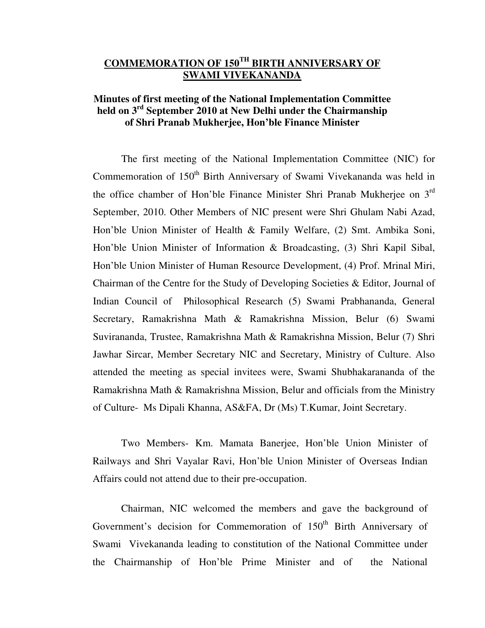# **COMMEMORATION OF 150TH BIRTH ANNIVERSARY OF SWAMI VIVEKANANDA**

## **Minutes of first meeting of the National Implementation Committee held on 3rd September 2010 at New Delhi under the Chairmanship of Shri Pranab Mukherjee, Hon'ble Finance Minister**

The first meeting of the National Implementation Committee (NIC) for Commemoration of 150<sup>th</sup> Birth Anniversary of Swami Vivekananda was held in the office chamber of Hon'ble Finance Minister Shri Pranab Mukherjee on 3rd September, 2010. Other Members of NIC present were Shri Ghulam Nabi Azad, Hon'ble Union Minister of Health & Family Welfare, (2) Smt. Ambika Soni, Hon'ble Union Minister of Information & Broadcasting, (3) Shri Kapil Sibal, Hon'ble Union Minister of Human Resource Development, (4) Prof. Mrinal Miri, Chairman of the Centre for the Study of Developing Societies & Editor, Journal of Indian Council of Philosophical Research (5) Swami Prabhananda, General Secretary, Ramakrishna Math & Ramakrishna Mission, Belur (6) Swami Suvirananda, Trustee, Ramakrishna Math & Ramakrishna Mission, Belur (7) Shri Jawhar Sircar, Member Secretary NIC and Secretary, Ministry of Culture. Also attended the meeting as special invitees were, Swami Shubhakarananda of the Ramakrishna Math & Ramakrishna Mission, Belur and officials from the Ministry of Culture- Ms Dipali Khanna, AS&FA, Dr (Ms) T.Kumar, Joint Secretary.

Two Members- Km. Mamata Banerjee, Hon'ble Union Minister of Railways and Shri Vayalar Ravi, Hon'ble Union Minister of Overseas Indian Affairs could not attend due to their pre-occupation.

Chairman, NIC welcomed the members and gave the background of Government's decision for Commemoration of 150<sup>th</sup> Birth Anniversary of Swami Vivekananda leading to constitution of the National Committee under the Chairmanship of Hon'ble Prime Minister and of the National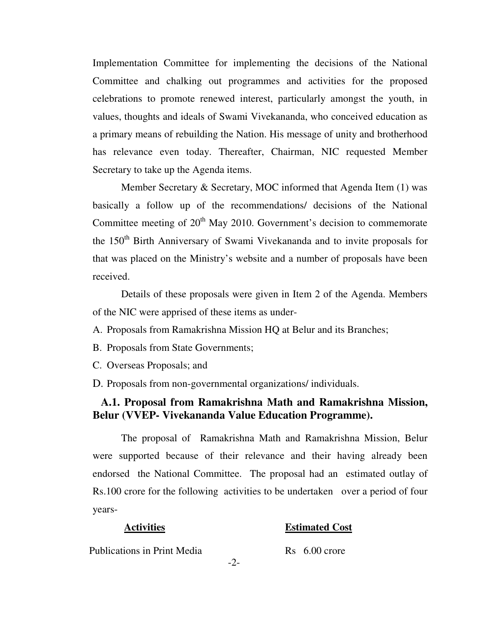Implementation Committee for implementing the decisions of the National Committee and chalking out programmes and activities for the proposed celebrations to promote renewed interest, particularly amongst the youth, in values, thoughts and ideals of Swami Vivekananda, who conceived education as a primary means of rebuilding the Nation. His message of unity and brotherhood has relevance even today. Thereafter, Chairman, NIC requested Member Secretary to take up the Agenda items.

Member Secretary & Secretary, MOC informed that Agenda Item (1) was basically a follow up of the recommendations/ decisions of the National Committee meeting of  $20<sup>th</sup>$  May 2010. Government's decision to commemorate the 150<sup>th</sup> Birth Anniversary of Swami Vivekananda and to invite proposals for that was placed on the Ministry's website and a number of proposals have been received.

Details of these proposals were given in Item 2 of the Agenda. Members of the NIC were apprised of these items as under-

- A. Proposals from Ramakrishna Mission HQ at Belur and its Branches;
- B. Proposals from State Governments;
- C. Overseas Proposals; and
- D. Proposals from non-governmental organizations/ individuals.

## **A.1. Proposal from Ramakrishna Math and Ramakrishna Mission, Belur (VVEP- Vivekananda Value Education Programme).**

The proposal of Ramakrishna Math and Ramakrishna Mission, Belur were supported because of their relevance and their having already been endorsed the National Committee. The proposal had an estimated outlay of Rs.100 crore for the following activities to be undertaken over a period of four years-

#### **Activities Estimated Cost**

Publications in Print Media Rs 6.00 crore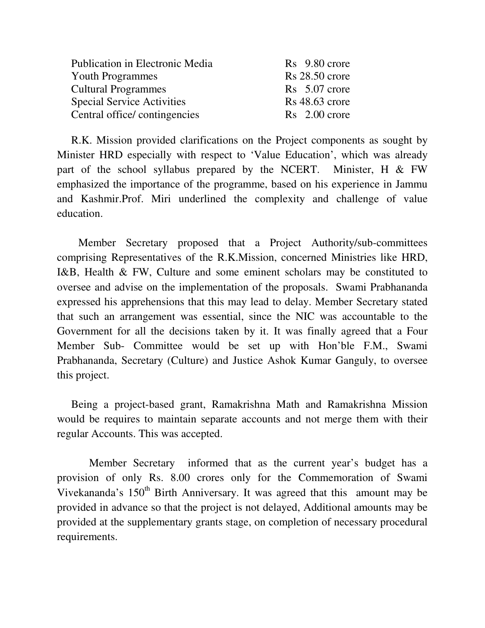| <b>Publication in Electronic Media</b> | $Rs$ 9.80 crore     |
|----------------------------------------|---------------------|
| <b>Youth Programmes</b>                | $Rs 28.50$ crore    |
| <b>Cultural Programmes</b>             | $Rs$ 5.07 crore     |
| <b>Special Service Activities</b>      | $Rs\,48.63\,$ crore |
| Central office/contingencies           | $Rs$ 2.00 crore     |

R.K. Mission provided clarifications on the Project components as sought by Minister HRD especially with respect to 'Value Education', which was already part of the school syllabus prepared by the NCERT. Minister, H & FW emphasized the importance of the programme, based on his experience in Jammu and Kashmir.Prof. Miri underlined the complexity and challenge of value education.

Member Secretary proposed that a Project Authority/sub-committees comprising Representatives of the R.K.Mission, concerned Ministries like HRD, I&B, Health & FW, Culture and some eminent scholars may be constituted to oversee and advise on the implementation of the proposals. Swami Prabhananda expressed his apprehensions that this may lead to delay. Member Secretary stated that such an arrangement was essential, since the NIC was accountable to the Government for all the decisions taken by it. It was finally agreed that a Four Member Sub- Committee would be set up with Hon'ble F.M., Swami Prabhananda, Secretary (Culture) and Justice Ashok Kumar Ganguly, to oversee this project.

Being a project-based grant, Ramakrishna Math and Ramakrishna Mission would be requires to maintain separate accounts and not merge them with their regular Accounts. This was accepted.

Member Secretary informed that as the current year's budget has a provision of only Rs. 8.00 crores only for the Commemoration of Swami Vivekananda's 150<sup>th</sup> Birth Anniversary. It was agreed that this amount may be provided in advance so that the project is not delayed, Additional amounts may be provided at the supplementary grants stage, on completion of necessary procedural requirements.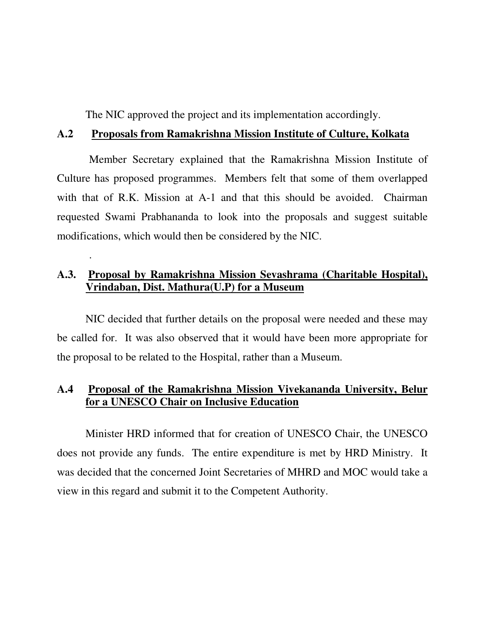The NIC approved the project and its implementation accordingly.

## **A.2 Proposals from Ramakrishna Mission Institute of Culture, Kolkata**

Member Secretary explained that the Ramakrishna Mission Institute of Culture has proposed programmes. Members felt that some of them overlapped with that of R.K. Mission at A-1 and that this should be avoided. Chairman requested Swami Prabhananda to look into the proposals and suggest suitable modifications, which would then be considered by the NIC.

# **A.3. Proposal by Ramakrishna Mission Sevashrama (Charitable Hospital), Vrindaban, Dist. Mathura(U.P) for a Museum**

.

NIC decided that further details on the proposal were needed and these may be called for. It was also observed that it would have been more appropriate for the proposal to be related to the Hospital, rather than a Museum.

## **A.4 Proposal of the Ramakrishna Mission Vivekananda University, Belur for a UNESCO Chair on Inclusive Education**

Minister HRD informed that for creation of UNESCO Chair, the UNESCO does not provide any funds. The entire expenditure is met by HRD Ministry. It was decided that the concerned Joint Secretaries of MHRD and MOC would take a view in this regard and submit it to the Competent Authority.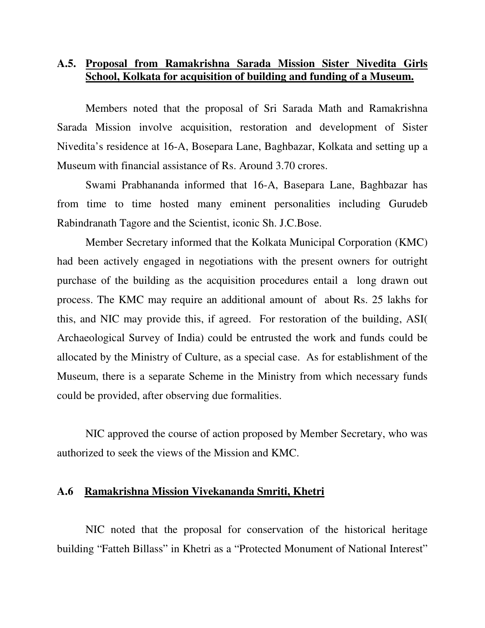# **A.5. Proposal from Ramakrishna Sarada Mission Sister Nivedita Girls School, Kolkata for acquisition of building and funding of a Museum.**

Members noted that the proposal of Sri Sarada Math and Ramakrishna Sarada Mission involve acquisition, restoration and development of Sister Nivedita's residence at 16-A, Bosepara Lane, Baghbazar, Kolkata and setting up a Museum with financial assistance of Rs. Around 3.70 crores.

Swami Prabhananda informed that 16-A, Basepara Lane, Baghbazar has from time to time hosted many eminent personalities including Gurudeb Rabindranath Tagore and the Scientist, iconic Sh. J.C.Bose.

Member Secretary informed that the Kolkata Municipal Corporation (KMC) had been actively engaged in negotiations with the present owners for outright purchase of the building as the acquisition procedures entail a long drawn out process. The KMC may require an additional amount of about Rs. 25 lakhs for this, and NIC may provide this, if agreed. For restoration of the building, ASI( Archaeological Survey of India) could be entrusted the work and funds could be allocated by the Ministry of Culture, as a special case. As for establishment of the Museum, there is a separate Scheme in the Ministry from which necessary funds could be provided, after observing due formalities.

NIC approved the course of action proposed by Member Secretary, who was authorized to seek the views of the Mission and KMC.

## **A.6 Ramakrishna Mission Vivekananda Smriti, Khetri**

NIC noted that the proposal for conservation of the historical heritage building "Fatteh Billass" in Khetri as a "Protected Monument of National Interest"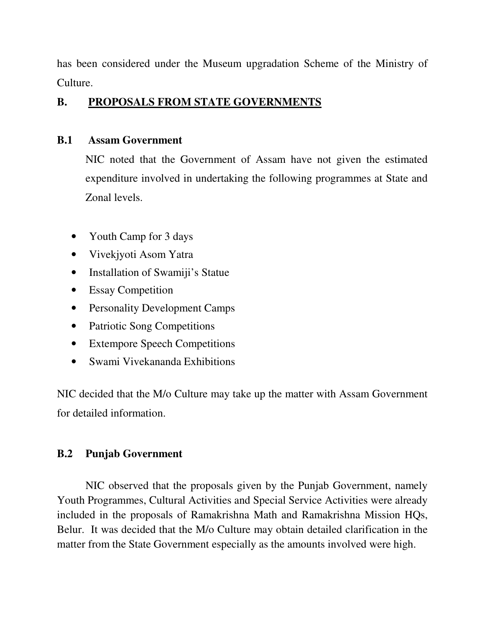has been considered under the Museum upgradation Scheme of the Ministry of Culture.

# **B. PROPOSALS FROM STATE GOVERNMENTS**

# **B.1 Assam Government**

NIC noted that the Government of Assam have not given the estimated expenditure involved in undertaking the following programmes at State and Zonal levels.

- Youth Camp for 3 days
- Vivekjyoti Asom Yatra
- Installation of Swamiji's Statue
- Essay Competition
- Personality Development Camps
- Patriotic Song Competitions
- Extempore Speech Competitions
- Swami Vivekananda Exhibitions

NIC decided that the M/o Culture may take up the matter with Assam Government for detailed information.

# **B.2 Punjab Government**

NIC observed that the proposals given by the Punjab Government, namely Youth Programmes, Cultural Activities and Special Service Activities were already included in the proposals of Ramakrishna Math and Ramakrishna Mission HQs, Belur. It was decided that the M/o Culture may obtain detailed clarification in the matter from the State Government especially as the amounts involved were high.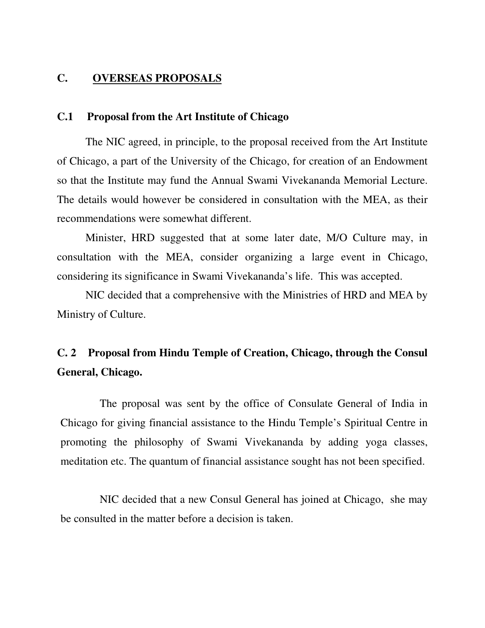## **C. OVERSEAS PROPOSALS**

### **C.1 Proposal from the Art Institute of Chicago**

The NIC agreed, in principle, to the proposal received from the Art Institute of Chicago, a part of the University of the Chicago, for creation of an Endowment so that the Institute may fund the Annual Swami Vivekananda Memorial Lecture. The details would however be considered in consultation with the MEA, as their recommendations were somewhat different.

Minister, HRD suggested that at some later date, M/O Culture may, in consultation with the MEA, consider organizing a large event in Chicago, considering its significance in Swami Vivekananda's life. This was accepted.

NIC decided that a comprehensive with the Ministries of HRD and MEA by Ministry of Culture.

# **C. 2 Proposal from Hindu Temple of Creation, Chicago, through the Consul General, Chicago.**

The proposal was sent by the office of Consulate General of India in Chicago for giving financial assistance to the Hindu Temple's Spiritual Centre in promoting the philosophy of Swami Vivekananda by adding yoga classes, meditation etc. The quantum of financial assistance sought has not been specified.

NIC decided that a new Consul General has joined at Chicago, she may be consulted in the matter before a decision is taken.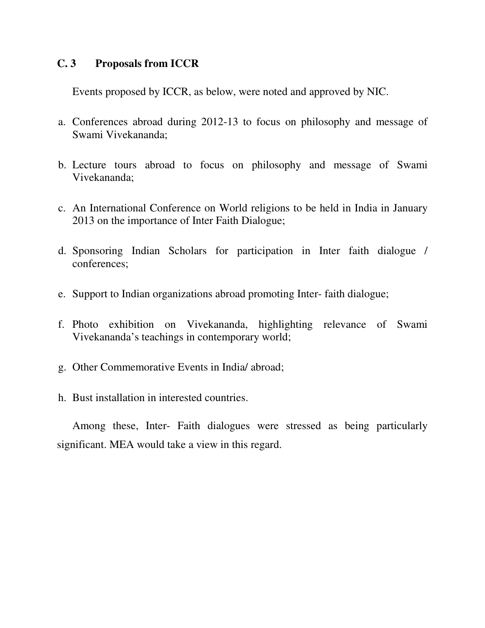## **C. 3 Proposals from ICCR**

Events proposed by ICCR, as below, were noted and approved by NIC.

- a. Conferences abroad during 2012-13 to focus on philosophy and message of Swami Vivekananda;
- b. Lecture tours abroad to focus on philosophy and message of Swami Vivekananda;
- c. An International Conference on World religions to be held in India in January 2013 on the importance of Inter Faith Dialogue;
- d. Sponsoring Indian Scholars for participation in Inter faith dialogue / conferences;
- e. Support to Indian organizations abroad promoting Inter- faith dialogue;
- f. Photo exhibition on Vivekananda, highlighting relevance of Swami Vivekananda's teachings in contemporary world;
- g. Other Commemorative Events in India/ abroad;
- h. Bust installation in interested countries.

Among these, Inter- Faith dialogues were stressed as being particularly significant. MEA would take a view in this regard.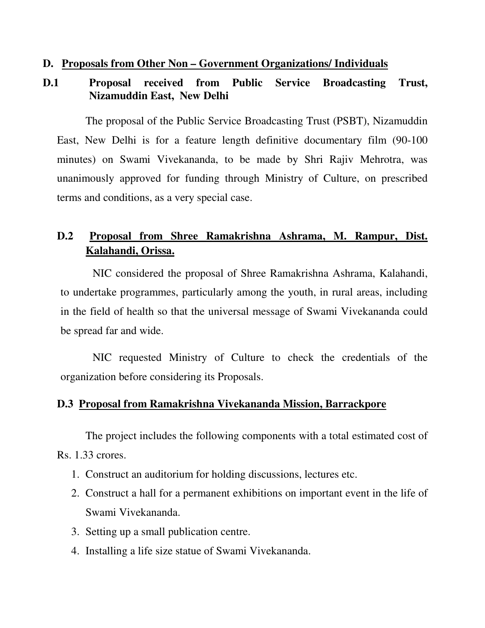## **D. Proposals from Other Non – Government Organizations/ Individuals**

# **D.1 Proposal received from Public Service Broadcasting Trust, Nizamuddin East, New Delhi**

The proposal of the Public Service Broadcasting Trust (PSBT), Nizamuddin East, New Delhi is for a feature length definitive documentary film (90-100 minutes) on Swami Vivekananda, to be made by Shri Rajiv Mehrotra, was unanimously approved for funding through Ministry of Culture, on prescribed terms and conditions, as a very special case.

# **D.2 Proposal from Shree Ramakrishna Ashrama, M. Rampur, Dist. Kalahandi, Orissa.**

NIC considered the proposal of Shree Ramakrishna Ashrama, Kalahandi, to undertake programmes, particularly among the youth, in rural areas, including in the field of health so that the universal message of Swami Vivekananda could be spread far and wide.

NIC requested Ministry of Culture to check the credentials of the organization before considering its Proposals.

## **D.3 Proposal from Ramakrishna Vivekananda Mission, Barrackpore**

The project includes the following components with a total estimated cost of Rs. 1.33 crores.

- 1. Construct an auditorium for holding discussions, lectures etc.
- 2. Construct a hall for a permanent exhibitions on important event in the life of Swami Vivekananda.
- 3. Setting up a small publication centre.
- 4. Installing a life size statue of Swami Vivekananda.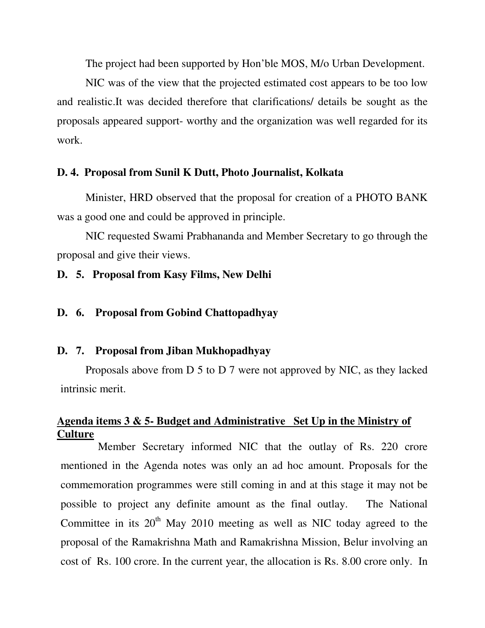The project had been supported by Hon'ble MOS, M/o Urban Development.

NIC was of the view that the projected estimated cost appears to be too low and realistic.It was decided therefore that clarifications/ details be sought as the proposals appeared support- worthy and the organization was well regarded for its work.

## **D. 4. Proposal from Sunil K Dutt, Photo Journalist, Kolkata**

Minister, HRD observed that the proposal for creation of a PHOTO BANK was a good one and could be approved in principle.

NIC requested Swami Prabhananda and Member Secretary to go through the proposal and give their views.

## **D. 5. Proposal from Kasy Films, New Delhi**

### **D. 6. Proposal from Gobind Chattopadhyay**

### **D. 7. Proposal from Jiban Mukhopadhyay**

Proposals above from D 5 to D 7 were not approved by NIC, as they lacked intrinsic merit.

# **Agenda items 3 & 5- Budget and Administrative Set Up in the Ministry of Culture**

Member Secretary informed NIC that the outlay of Rs. 220 crore mentioned in the Agenda notes was only an ad hoc amount. Proposals for the commemoration programmes were still coming in and at this stage it may not be possible to project any definite amount as the final outlay. The National Committee in its  $20<sup>th</sup>$  May 2010 meeting as well as NIC today agreed to the proposal of the Ramakrishna Math and Ramakrishna Mission, Belur involving an cost of Rs. 100 crore. In the current year, the allocation is Rs. 8.00 crore only. In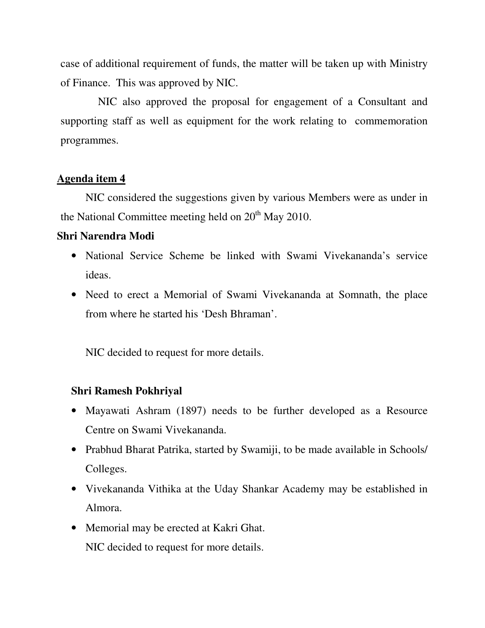case of additional requirement of funds, the matter will be taken up with Ministry of Finance. This was approved by NIC.

NIC also approved the proposal for engagement of a Consultant and supporting staff as well as equipment for the work relating to commemoration programmes.

## **Agenda item 4**

NIC considered the suggestions given by various Members were as under in the National Committee meeting held on  $20<sup>th</sup>$  May 2010.

# **Shri Narendra Modi**

- National Service Scheme be linked with Swami Vivekananda's service ideas.
- Need to erect a Memorial of Swami Vivekananda at Somnath, the place from where he started his 'Desh Bhraman'.

NIC decided to request for more details.

# **Shri Ramesh Pokhriyal**

- Mayawati Ashram (1897) needs to be further developed as a Resource Centre on Swami Vivekananda.
- Prabhud Bharat Patrika, started by Swamiji, to be made available in Schools/ Colleges.
- Vivekananda Vithika at the Uday Shankar Academy may be established in Almora.
- Memorial may be erected at Kakri Ghat. NIC decided to request for more details.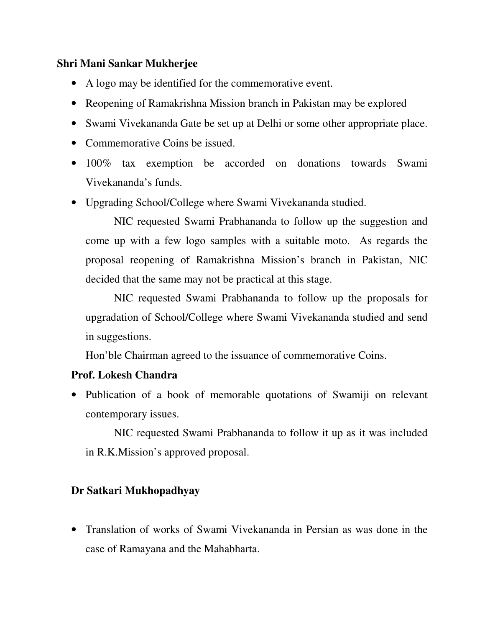## **Shri Mani Sankar Mukherjee**

- A logo may be identified for the commemorative event.
- Reopening of Ramakrishna Mission branch in Pakistan may be explored
- Swami Vivekananda Gate be set up at Delhi or some other appropriate place.
- Commemorative Coins be issued.
- 100% tax exemption be accorded on donations towards Swami Vivekananda's funds.
- Upgrading School/College where Swami Vivekananda studied.

NIC requested Swami Prabhananda to follow up the suggestion and come up with a few logo samples with a suitable moto. As regards the proposal reopening of Ramakrishna Mission's branch in Pakistan, NIC decided that the same may not be practical at this stage.

NIC requested Swami Prabhananda to follow up the proposals for upgradation of School/College where Swami Vivekananda studied and send in suggestions.

Hon'ble Chairman agreed to the issuance of commemorative Coins.

## **Prof. Lokesh Chandra**

• Publication of a book of memorable quotations of Swamiji on relevant contemporary issues.

NIC requested Swami Prabhananda to follow it up as it was included in R.K.Mission's approved proposal.

# **Dr Satkari Mukhopadhyay**

• Translation of works of Swami Vivekananda in Persian as was done in the case of Ramayana and the Mahabharta.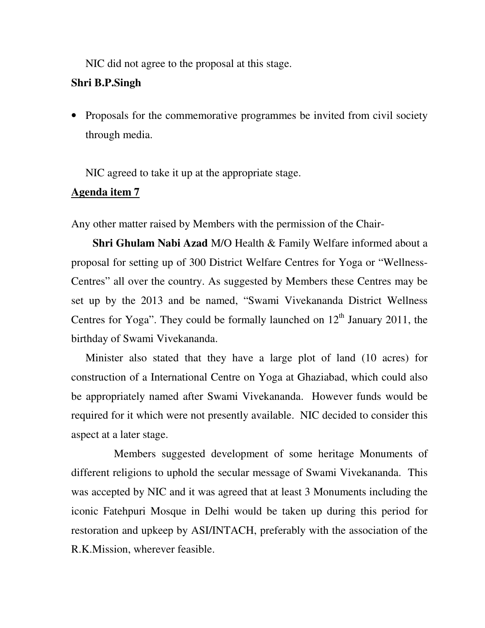NIC did not agree to the proposal at this stage.

## **Shri B.P.Singh**

• Proposals for the commemorative programmes be invited from civil society through media.

NIC agreed to take it up at the appropriate stage.

## **Agenda item 7**

Any other matter raised by Members with the permission of the Chair-

**Shri Ghulam Nabi Azad** M/O Health & Family Welfare informed about a proposal for setting up of 300 District Welfare Centres for Yoga or "Wellness-Centres" all over the country. As suggested by Members these Centres may be set up by the 2013 and be named, "Swami Vivekananda District Wellness Centres for Yoga". They could be formally launched on  $12<sup>th</sup>$  January 2011, the birthday of Swami Vivekananda.

Minister also stated that they have a large plot of land (10 acres) for construction of a International Centre on Yoga at Ghaziabad, which could also be appropriately named after Swami Vivekananda. However funds would be required for it which were not presently available. NIC decided to consider this aspect at a later stage.

 Members suggested development of some heritage Monuments of different religions to uphold the secular message of Swami Vivekananda. This was accepted by NIC and it was agreed that at least 3 Monuments including the iconic Fatehpuri Mosque in Delhi would be taken up during this period for restoration and upkeep by ASI/INTACH, preferably with the association of the R.K.Mission, wherever feasible.